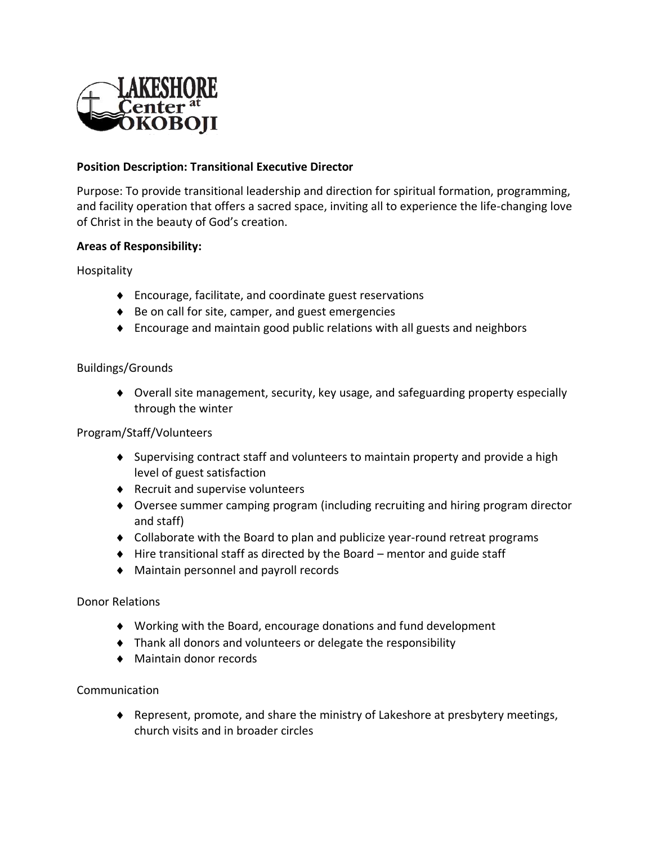

# **Position Description: Transitional Executive Director**

Purpose: To provide transitional leadership and direction for spiritual formation, programming, and facility operation that offers a sacred space, inviting all to experience the life-changing love of Christ in the beauty of God's creation.

## **Areas of Responsibility:**

Hospitality

- Encourage, facilitate, and coordinate guest reservations
- ◆ Be on call for site, camper, and guest emergencies
- Encourage and maintain good public relations with all guests and neighbors

### Buildings/Grounds

 Overall site management, security, key usage, and safeguarding property especially through the winter

#### Program/Staff/Volunteers

- Supervising contract staff and volunteers to maintain property and provide a high level of guest satisfaction
- ◆ Recruit and supervise volunteers
- Oversee summer camping program (including recruiting and hiring program director and staff)
- Collaborate with the Board to plan and publicize year-round retreat programs
- $\blacklozenge$  Hire transitional staff as directed by the Board mentor and guide staff
- Maintain personnel and payroll records

#### Donor Relations

- Working with the Board, encourage donations and fund development
- Thank all donors and volunteers or delegate the responsibility
- Maintain donor records

#### Communication

 Represent, promote, and share the ministry of Lakeshore at presbytery meetings, church visits and in broader circles